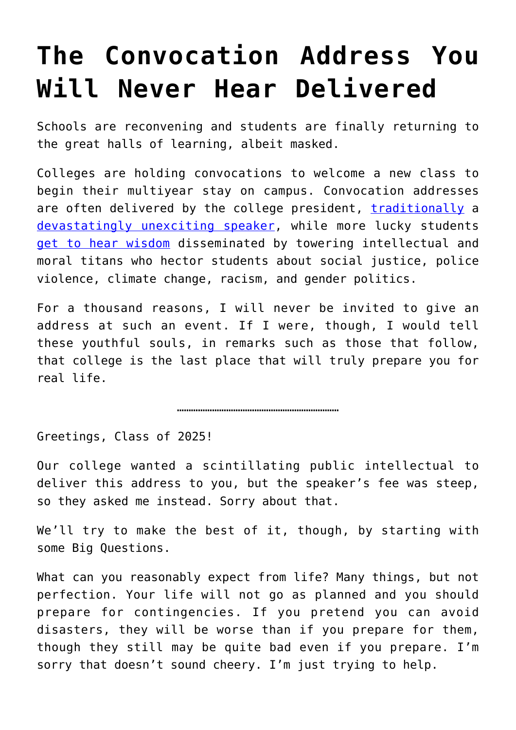## **[The Convocation Address You](https://intellectualtakeout.org/2021/09/the-convocation-address-you-will-never-hear-delivered/) [Will Never Hear Delivered](https://intellectualtakeout.org/2021/09/the-convocation-address-you-will-never-hear-delivered/)**

Schools are reconvening and students are finally returning to the great halls of learning, albeit masked.

Colleges are holding convocations to welcome a new class to begin their multiyear stay on campus. Convocation addresses are often delivered by the college president, [traditionally](https://www.youtube.com/watch?v=y88k3b6_Khc) a [devastatingly unexciting speaker](https://www.youtube.com/watch?v=JaAkRDFNSlg), while more lucky students [get to hear wisdom](https://news.cornell.edu/stories/2021/05/author-roxane-gay-give-convocation-address-may-28) disseminated by towering intellectual and moral titans who hector students about social justice, police violence, climate change, racism, and gender politics.

For a thousand reasons, I will never be invited to give an address at such an event. If I were, though, I would tell these youthful souls, in remarks such as those that follow, that college is the last place that will truly prepare you for real life.

……………………………………………………………

Greetings, Class of 2025!

Our college wanted a scintillating public intellectual to deliver this address to you, but the speaker's fee was steep, so they asked me instead. Sorry about that.

We'll try to make the best of it, though, by starting with some Big Questions.

What can you reasonably expect from life? Many things, but not perfection. Your life will not go as planned and you should prepare for contingencies. If you pretend you can avoid disasters, they will be worse than if you prepare for them, though they still may be quite bad even if you prepare. I'm sorry that doesn't sound cheery. I'm just trying to help.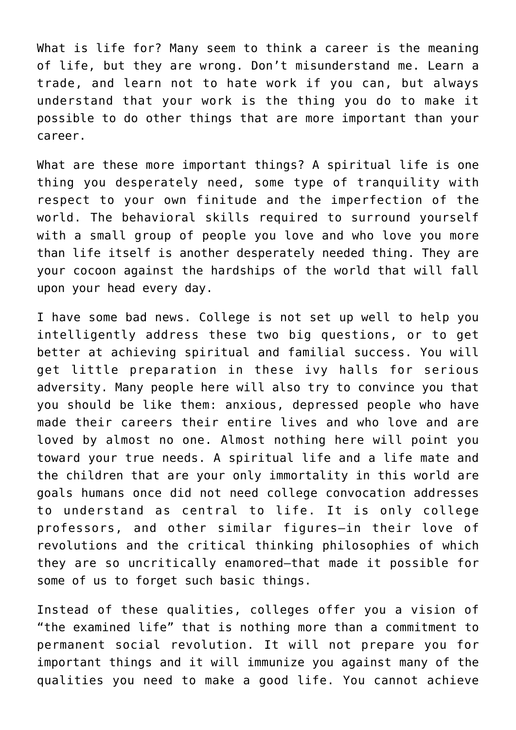What is life for? Many seem to think a career is the meaning of life, but they are wrong. Don't misunderstand me. Learn a trade, and learn not to hate work if you can, but always understand that your work is the thing you do to make it possible to do other things that are more important than your career.

What are these more important things? A spiritual life is one thing you desperately need, some type of tranquility with respect to your own finitude and the imperfection of the world. The behavioral skills required to surround yourself with a small group of people you love and who love you more than life itself is another desperately needed thing. They are your cocoon against the hardships of the world that will fall upon your head every day.

I have some bad news. College is not set up well to help you intelligently address these two big questions, or to get better at achieving spiritual and familial success. You will get little preparation in these ivy halls for serious adversity. Many people here will also try to convince you that you should be like them: anxious, depressed people who have made their careers their entire lives and who love and are loved by almost no one. Almost nothing here will point you toward your true needs. A spiritual life and a life mate and the children that are your only immortality in this world are goals humans once did not need college convocation addresses to understand as central to life. It is only college professors, and other similar figures—in their love of revolutions and the critical thinking philosophies of which they are so uncritically enamored—that made it possible for some of us to forget such basic things.

Instead of these qualities, colleges offer you a vision of "the examined life" that is nothing more than a commitment to permanent social revolution. It will not prepare you for important things and it will immunize you against many of the qualities you need to make a good life. You cannot achieve